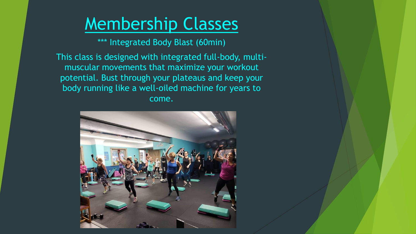\*\*\* Integrated Body Blast (60min)

This class is designed with integrated full-body, multimuscular movements that maximize your workout potential. Bust through your plateaus and keep your body running like a well-oiled machine for years to come.

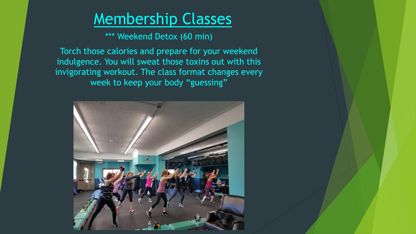\*\*\* Weekend Detox (60 min)

Torch those calories and prepare for your weekend indulgence. You will sweat those toxins out with this invigorating workout. The class format changes every week to keep your body "guessing"

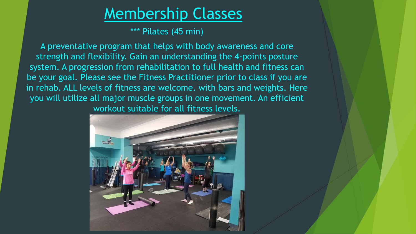\*\*\* Pilates (45 min)

A preventative program that helps with body awareness and core strength and flexibility. Gain an understanding the 4-points posture system. A progression from rehabilitation to full health and fitness can be your goal. Please see the Fitness Practitioner prior to class if you are in rehab. ALL levels of fitness are welcome. with bars and weights. Here you will utilize all major muscle groups in one movement. An efficient workout suitable for all fitness levels.

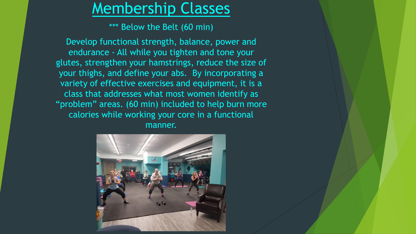\*\*\* Below the Belt (60 min)

Develop functional strength, balance, power and endurance - All while you tighten and tone your glutes, strengthen your hamstrings, reduce the size of your thighs, and define your abs. By incorporating a variety of effective exercises and equipment, it is a class that addresses what most women identify as "problem" areas. (60 min) included to help burn more calories while working your core in a functional manner.

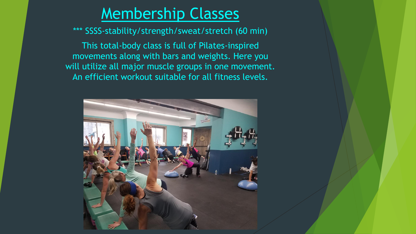\*\*\* SSSS-stability/strength/sweat/stretch (60 min)

This total-body class is full of Pilates-inspired movements along with bars and weights. Here you will utilize all major muscle groups in one movement. An efficient workout suitable for all fitness levels.

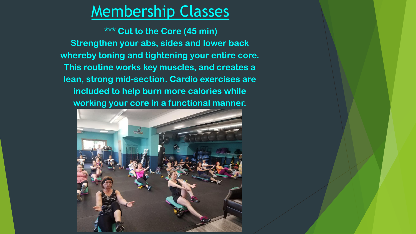**\*\*\* Cut to the Core (45 min) Strengthen your abs, sides and lower back whereby toning and tightening your entire core. This routine works key muscles, and creates a lean, strong mid-section. Cardio exercises are included to help burn more calories while working your core in a functional manner.**